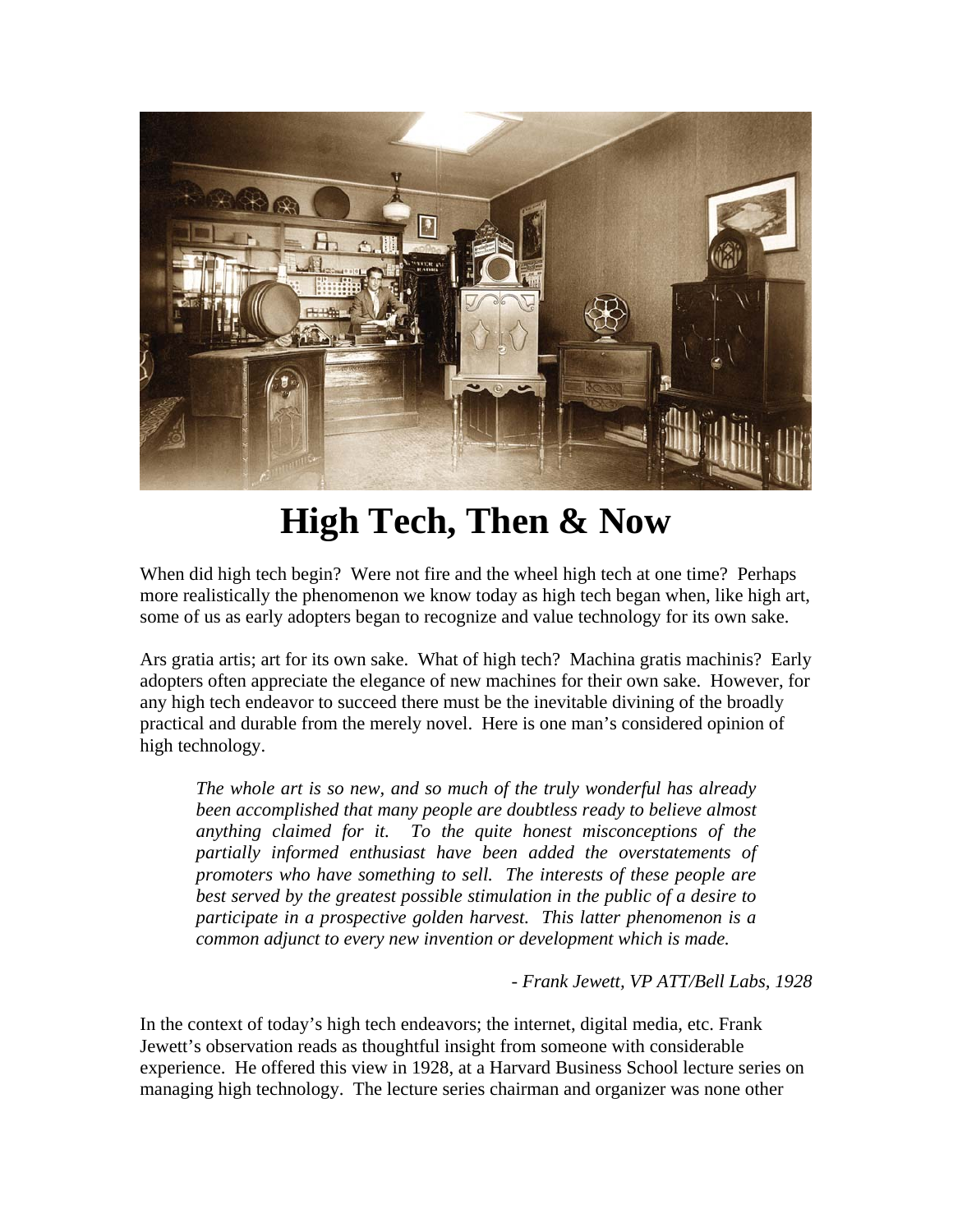

## **High Tech, Then & Now**

When did high tech begin? Were not fire and the wheel high tech at one time? Perhaps more realistically the phenomenon we know today as high tech began when, like high art, some of us as early adopters began to recognize and value technology for its own sake.

Ars gratia artis; art for its own sake. What of high tech? Machina gratis machinis? Early adopters often appreciate the elegance of new machines for their own sake. However, for any high tech endeavor to succeed there must be the inevitable divining of the broadly practical and durable from the merely novel. Here is one man's considered opinion of high technology.

*The whole art is so new, and so much of the truly wonderful has already been accomplished that many people are doubtless ready to believe almost anything claimed for it. To the quite honest misconceptions of the partially informed enthusiast have been added the overstatements of promoters who have something to sell. The interests of these people are best served by the greatest possible stimulation in the public of a desire to participate in a prospective golden harvest. This latter phenomenon is a common adjunct to every new invention or development which is made.* 

*- Frank Jewett, VP ATT/Bell Labs, 1928*

In the context of today's high tech endeavors; the internet, digital media, etc. Frank Jewett's observation reads as thoughtful insight from someone with considerable experience. He offered this view in 1928, at a Harvard Business School lecture series on managing high technology. The lecture series chairman and organizer was none other